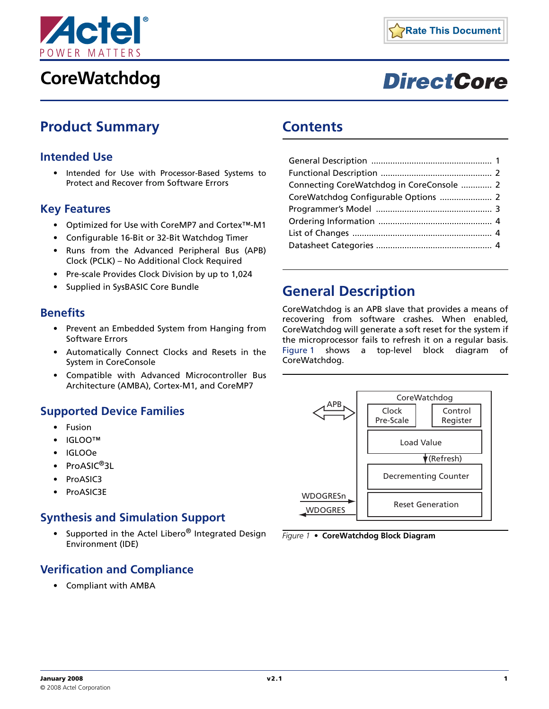

# **CoreWatchdog**



# **DirectCore**

### <span id="page-0-2"></span>**Product Summary**

#### **Intended Use**

• Intended for Use with Processor-Based Systems to Protect and Recover from Software Errors

#### **Key Features**

- Optimized for Use with CoreMP7 and Cortex™-M1
- Configurable 16-Bit or 32-Bit Watchdog Timer
- Runs from the Advanced Peripheral Bus (APB) Clock (PCLK) – No Additional Clock Required
- Pre-scale Provides Clock Division by up to 1,024
- Supplied in SysBASIC Core Bundle

#### **Benefits**

- Prevent an Embedded System from Hanging from Software Errors
- Automatically Connect Clocks and Resets in the System in CoreConsole
- Compatible with Advanced Microcontroller Bus Architecture (AMBA), Cortex-M1, and CoreMP7

#### <span id="page-0-3"></span>**Supported Device Families**

- Fusion
- IGLOO™
- IGLOOe
- ProASIC<sup>®</sup>3L
- ProASIC3
- ProASIC3E

#### **Synthesis and Simulation Support**

• Supported in the Actel Libero<sup>®</sup> Integrated Design Environment (IDE)

### **Verification and Compliance**

• Compliant with AMBA

### **Contents**

| Connecting CoreWatchdog in CoreConsole  2 |  |
|-------------------------------------------|--|
|                                           |  |
|                                           |  |
|                                           |  |
|                                           |  |
|                                           |  |

### <span id="page-0-0"></span>**General Description**

CoreWatchdog is an APB slave that provides a means of recovering from software crashes. When enabled, CoreWatchdog will generate a soft reset for the system if the microprocessor fails to refresh it on a regular basis. [Figure 1](#page-0-1) shows a top-level block diagram of CoreWatchdog.



<span id="page-0-1"></span>*Figure 1 •* **CoreWatchdog Block Diagram**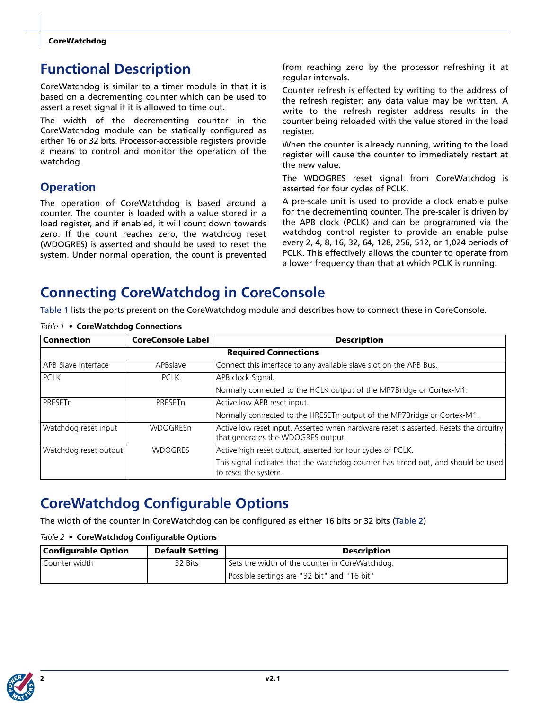## <span id="page-1-0"></span>**Functional Description**

CoreWatchdog is similar to a timer module in that it is based on a decrementing counter which can be used to assert a reset signal if it is allowed to time out.

The width of the decrementing counter in the CoreWatchdog module can be statically configured as either 16 or 32 bits. Processor-accessible registers provide a means to control and monitor the operation of the watchdog.

### **Operation**

The operation of CoreWatchdog is based around a counter. The counter is loaded with a value stored in a load register, and if enabled, it will count down towards zero. If the count reaches zero, the watchdog reset (WDOGRES) is asserted and should be used to reset the system. Under normal operation, the count is prevented

from reaching zero by the processor refreshing it at regular intervals.

Counter refresh is effected by writing to the address of the refresh register; any data value may be written. A write to the refresh register address results in the counter being reloaded with the value stored in the load register.

When the counter is already running, writing to the load register will cause the counter to immediately restart at the new value.

The WDOGRES reset signal from CoreWatchdog is asserted for four cycles of PCLK.

A pre-scale unit is used to provide a clock enable pulse for the decrementing counter. The pre-scaler is driven by the APB clock (PCLK) and can be programmed via the watchdog control register to provide an enable pulse every 2, 4, 8, 16, 32, 64, 128, 256, 512, or 1,024 periods of PCLK. This effectively allows the counter to operate from a lower frequency than that at which PCLK is running.

## <span id="page-1-1"></span>**Connecting CoreWatchdog in CoreConsole**

[Table 1](#page-1-3) lists the ports present on the CoreWatchdog module and describes how to connect these in CoreConsole.

| <b>Connection</b>     | <b>CoreConsole Label</b>    | <b>Description</b>                                                                                                           |  |  |  |
|-----------------------|-----------------------------|------------------------------------------------------------------------------------------------------------------------------|--|--|--|
|                       | <b>Required Connections</b> |                                                                                                                              |  |  |  |
| APB Slave Interface   | APBslave                    | Connect this interface to any available slave slot on the APB Bus.                                                           |  |  |  |
| <b>PCLK</b>           | <b>PCLK</b>                 | APB clock Signal.                                                                                                            |  |  |  |
|                       |                             | Normally connected to the HCLK output of the MP7Bridge or Cortex-M1.                                                         |  |  |  |
| PRESETn               | PRESET <sub>n</sub>         | Active low APB reset input.                                                                                                  |  |  |  |
|                       |                             | Normally connected to the HRESETn output of the MP7Bridge or Cortex-M1.                                                      |  |  |  |
| Watchdog reset input  | <b>WDOGRESn</b>             | Active low reset input. Asserted when hardware reset is asserted. Resets the circuitry<br>that generates the WDOGRES output. |  |  |  |
| Watchdog reset output | <b>WDOGRES</b>              | Active high reset output, asserted for four cycles of PCLK.                                                                  |  |  |  |
|                       |                             | This signal indicates that the watchdog counter has timed out, and should be used<br>to reset the system.                    |  |  |  |

<span id="page-1-3"></span>*Table 1 •* **CoreWatchdog Connections**

## <span id="page-1-2"></span>**CoreWatchdog Configurable Options**

The width of the counter in CoreWatchdog can be configured as either 16 bits or 32 bits ([Table 2](#page-1-4))

#### <span id="page-1-4"></span>*Table 2 •* **CoreWatchdog Configurable Options**

| <b>Configurable Option</b> | <b>Default Setting</b> | <b>Description</b>                             |
|----------------------------|------------------------|------------------------------------------------|
| Counter width              | 32 Bits                | Sets the width of the counter in CoreWatchdog. |
|                            |                        | Possible settings are "32 bit" and "16 bit"    |

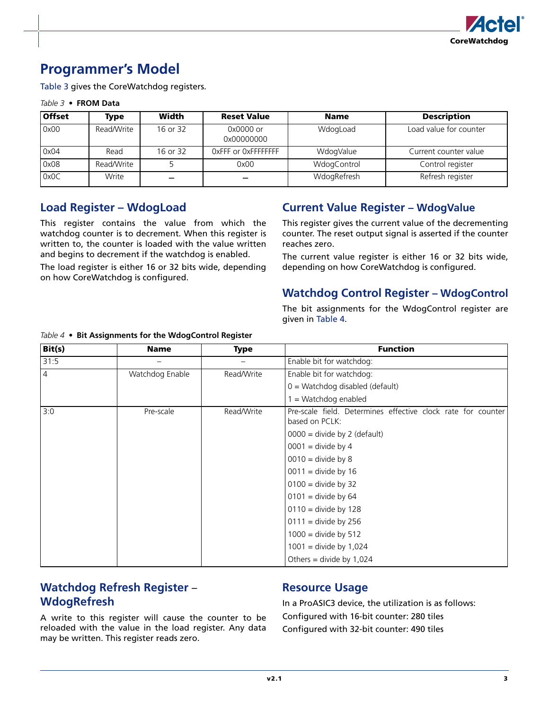

## <span id="page-2-0"></span>**Programmer's Model**

[Table 3](#page-2-1) gives the CoreWatchdog registers.

#### <span id="page-2-1"></span>*Table 3 •* **FROM Data**

| <b>Offset</b> | Type       | Width    | <b>Reset Value</b>      | <b>Name</b> | <b>Description</b>     |
|---------------|------------|----------|-------------------------|-------------|------------------------|
| 0x00          | Read/Write | 16 or 32 | 0x0000 or<br>0x00000000 | WdogLoad    | Load value for counter |
| 0x04          | Read       | 16 or 32 | OxFFF or OxFFFFFFFF     | WdogValue   | Current counter value  |
| 0x08          | Read/Write |          | 0x00                    | WdogControl | Control register       |
| 0x0C          | Write      |          |                         | WdogRefresh | Refresh register       |

#### **Load Register – WdogLoad**

This register contains the value from which the watchdog counter is to decrement. When this register is written to, the counter is loaded with the value written and begins to decrement if the watchdog is enabled.

The load register is either 16 or 32 bits wide, depending on how CoreWatchdog is configured.

#### **Current Value Register – WdogValue**

This register gives the current value of the decrementing counter. The reset output signal is asserted if the counter reaches zero.

The current value register is either 16 or 32 bits wide, depending on how CoreWatchdog is configured.

#### **Watchdog Control Register – WdogControl**

The bit assignments for the WdogControl register are given in [Table 4](#page-2-2).

| Bit(s)         | <b>Name</b>     | <b>Type</b> | <b>Function</b>                                                                |
|----------------|-----------------|-------------|--------------------------------------------------------------------------------|
| 31:5           |                 |             | Enable bit for watchdog:                                                       |
| $\overline{4}$ | Watchdog Enable | Read/Write  | Enable bit for watchdog:                                                       |
|                |                 |             | $0 = Watchdog$ disabled (default)                                              |
|                |                 |             | = Watchdog enabled                                                             |
| 3:0            | Pre-scale       | Read/Write  | Pre-scale field. Determines effective clock rate for counter<br>based on PCLK: |
|                |                 |             | $0000 =$ divide by 2 (default)                                                 |
|                |                 |             | $0001$ = divide by 4                                                           |
|                |                 |             | $0010 =$ divide by 8                                                           |
|                |                 |             | $0011$ = divide by 16                                                          |
|                |                 |             | $0100 =$ divide by 32                                                          |
|                |                 |             | $0101$ = divide by 64                                                          |
|                |                 |             | $0110 =$ divide by 128                                                         |
|                |                 |             | $0111 =$ divide by 256                                                         |
|                |                 |             | $1000 =$ divide by 512                                                         |
|                |                 |             | $1001 =$ divide by 1,024                                                       |
|                |                 |             | Others = divide by $1,024$                                                     |

#### <span id="page-2-2"></span>*Table 4 •* **Bit Assignments for the WdogControl Register**

### **Watchdog Refresh Register** – **WdogRefresh**

A write to this register will cause the counter to be reloaded with the value in the load register. Any data may be written. This register reads zero.

#### <span id="page-2-3"></span>**Resource Usage**

In a ProASIC3 device, the utilization is as follows: Configured with 16-bit counter: 280 tiles Configured with 32-bit counter: 490 tiles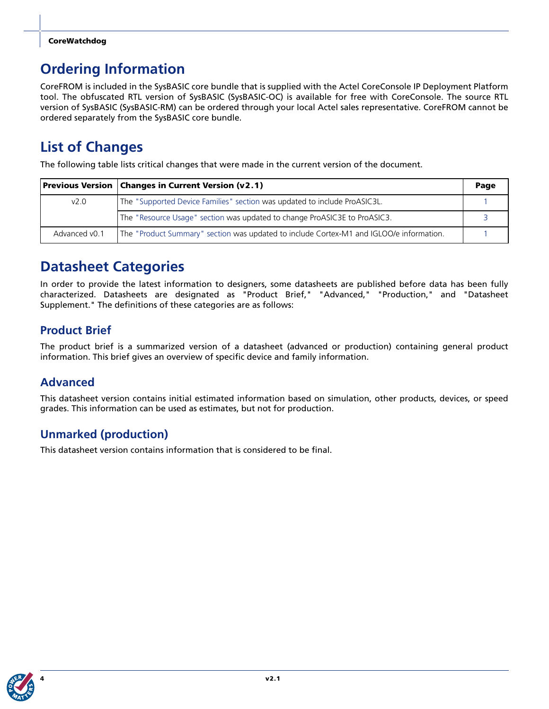#### **CoreWatchdog**

## <span id="page-3-0"></span>**Ordering Information**

CoreFROM is included in the SysBASIC core bundle that is supplied with the Actel CoreConsole IP Deployment Platform tool. The obfuscated RTL version of SysBASIC (SysBASIC-OC) is available for free with CoreConsole. The source RTL version of SysBASIC (SysBASIC-RM) can be ordered through your local Actel sales representative. CoreFROM cannot be ordered separately from the SysBASIC core bundle.

## <span id="page-3-1"></span>**List of Changes**

The following table lists critical changes that were made in the current version of the document.

|               | <b>Previous Version   Changes in Current Version (v2.1)</b>                             |  |  |  |
|---------------|-----------------------------------------------------------------------------------------|--|--|--|
| v2.0          | The "Supported Device Families" section was updated to include ProASIC3L.               |  |  |  |
|               | The "Resource Usage" section was updated to change ProASIC3E to ProASIC3.               |  |  |  |
| Advanced v0.1 | The "Product Summary" section was updated to include Cortex-M1 and IGLOO/e information. |  |  |  |

## <span id="page-3-2"></span>**Datasheet Categories**

In order to provide the latest information to designers, some datasheets are published before data has been fully characterized. Datasheets are designated as "Product Brief," "Advanced," "Production," and "Datasheet Supplement." The definitions of these categories are as follows:

### **Product Brief**

The product brief is a summarized version of a datasheet (advanced or production) containing general product information. This brief gives an overview of specific device and family information.

### **Advanced**

This datasheet version contains initial estimated information based on simulation, other products, devices, or speed grades. This information can be used as estimates, but not for production.

### **Unmarked (production)**

This datasheet version contains information that is considered to be final.